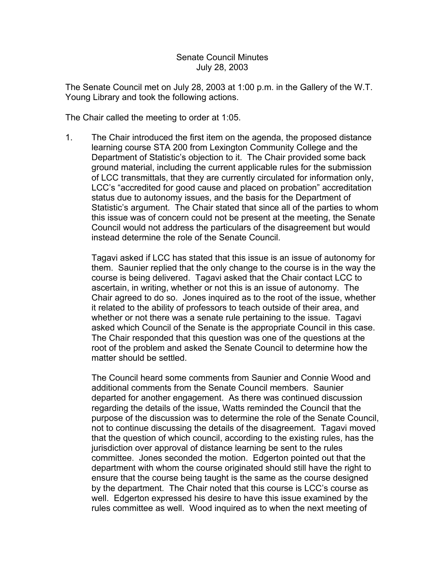## Senate Council Minutes July 28, 2003

The Senate Council met on July 28, 2003 at 1:00 p.m. in the Gallery of the W.T. Young Library and took the following actions.

The Chair called the meeting to order at 1:05.

1. The Chair introduced the first item on the agenda, the proposed distance learning course STA 200 from Lexington Community College and the Department of Statistic's objection to it. The Chair provided some back ground material, including the current applicable rules for the submission of LCC transmittals, that they are currently circulated for information only, LCC's "accredited for good cause and placed on probation" accreditation status due to autonomy issues, and the basis for the Department of Statistic's argument. The Chair stated that since all of the parties to whom this issue was of concern could not be present at the meeting, the Senate Council would not address the particulars of the disagreement but would instead determine the role of the Senate Council.

Tagavi asked if LCC has stated that this issue is an issue of autonomy for them. Saunier replied that the only change to the course is in the way the course is being delivered. Tagavi asked that the Chair contact LCC to ascertain, in writing, whether or not this is an issue of autonomy. The Chair agreed to do so. Jones inquired as to the root of the issue, whether it related to the ability of professors to teach outside of their area, and whether or not there was a senate rule pertaining to the issue. Tagavi asked which Council of the Senate is the appropriate Council in this case. The Chair responded that this question was one of the questions at the root of the problem and asked the Senate Council to determine how the matter should be settled.

The Council heard some comments from Saunier and Connie Wood and additional comments from the Senate Council members. Saunier departed for another engagement. As there was continued discussion regarding the details of the issue, Watts reminded the Council that the purpose of the discussion was to determine the role of the Senate Council, not to continue discussing the details of the disagreement. Tagavi moved that the question of which council, according to the existing rules, has the jurisdiction over approval of distance learning be sent to the rules committee. Jones seconded the motion. Edgerton pointed out that the department with whom the course originated should still have the right to ensure that the course being taught is the same as the course designed by the department. The Chair noted that this course is LCC's course as well. Edgerton expressed his desire to have this issue examined by the rules committee as well. Wood inquired as to when the next meeting of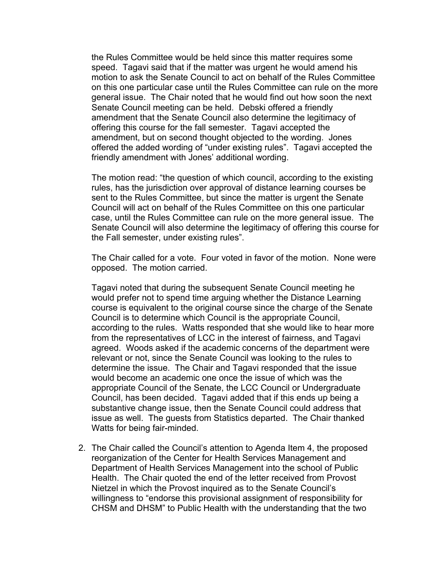the Rules Committee would be held since this matter requires some speed. Tagavi said that if the matter was urgent he would amend his motion to ask the Senate Council to act on behalf of the Rules Committee on this one particular case until the Rules Committee can rule on the more general issue. The Chair noted that he would find out how soon the next Senate Council meeting can be held. Debski offered a friendly amendment that the Senate Council also determine the legitimacy of offering this course for the fall semester. Tagavi accepted the amendment, but on second thought objected to the wording. Jones offered the added wording of "under existing rules". Tagavi accepted the friendly amendment with Jones' additional wording.

The motion read: "the question of which council, according to the existing rules, has the jurisdiction over approval of distance learning courses be sent to the Rules Committee, but since the matter is urgent the Senate Council will act on behalf of the Rules Committee on this one particular case, until the Rules Committee can rule on the more general issue. The Senate Council will also determine the legitimacy of offering this course for the Fall semester, under existing rules".

The Chair called for a vote. Four voted in favor of the motion. None were opposed. The motion carried.

Tagavi noted that during the subsequent Senate Council meeting he would prefer not to spend time arguing whether the Distance Learning course is equivalent to the original course since the charge of the Senate Council is to determine which Council is the appropriate Council, according to the rules. Watts responded that she would like to hear more from the representatives of LCC in the interest of fairness, and Tagavi agreed. Woods asked if the academic concerns of the department were relevant or not, since the Senate Council was looking to the rules to determine the issue. The Chair and Tagavi responded that the issue would become an academic one once the issue of which was the appropriate Council of the Senate, the LCC Council or Undergraduate Council, has been decided. Tagavi added that if this ends up being a substantive change issue, then the Senate Council could address that issue as well. The guests from Statistics departed. The Chair thanked Watts for being fair-minded.

2. The Chair called the Council's attention to Agenda Item 4, the proposed reorganization of the Center for Health Services Management and Department of Health Services Management into the school of Public Health. The Chair quoted the end of the letter received from Provost Nietzel in which the Provost inquired as to the Senate Council's willingness to "endorse this provisional assignment of responsibility for CHSM and DHSM" to Public Health with the understanding that the two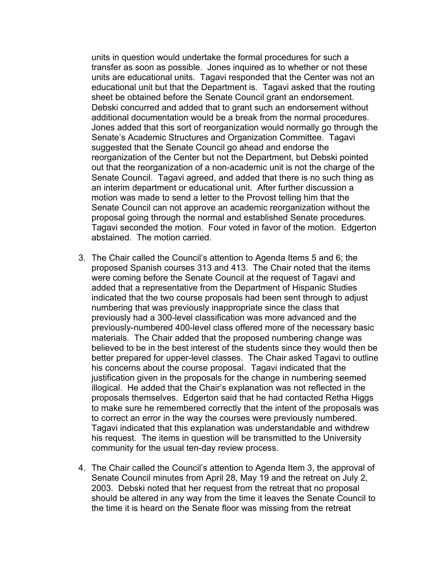units in question would undertake the formal procedures for such a transfer as soon as possible. Jones inquired as to whether or not these units are educational units. Tagavi responded that the Center was not an educational unit but that the Department is. Tagavi asked that the routing sheet be obtained before the Senate Council grant an endorsement. Debski concurred and added that to grant such an endorsement without additional documentation would be a break from the normal procedures. Jones added that this sort of reorganization would normally go through the Senate's Academic Structures and Organization Committee. Tagavi suggested that the Senate Council go ahead and endorse the reorganization of the Center but not the Department, but Debski pointed out that the reorganization of a non-academic unit is not the charge of the Senate Council. Tagavi agreed, and added that there is no such thing as an interim department or educational unit. After further discussion a motion was made to send a letter to the Provost telling him that the Senate Council can not approve an academic reorganization without the proposal going through the normal and established Senate procedures. Tagavi seconded the motion. Four voted in favor of the motion. Edgerton abstained. The motion carried.

- 3. The Chair called the Council's attention to Agenda Items 5 and 6; the proposed Spanish courses 313 and 413. The Chair noted that the items were coming before the Senate Council at the request of Tagavi and added that a representative from the Department of Hispanic Studies indicated that the two course proposals had been sent through to adjust numbering that was previously inappropriate since the class that previously had a 300-level classification was more advanced and the previously-numbered 400-level class offered more of the necessary basic materials. The Chair added that the proposed numbering change was believed to be in the best interest of the students since they would then be better prepared for upper-level classes. The Chair asked Tagavi to outline his concerns about the course proposal. Tagavi indicated that the justification given in the proposals for the change in numbering seemed illogical. He added that the Chair's explanation was not reflected in the proposals themselves. Edgerton said that he had contacted Retha Higgs to make sure he remembered correctly that the intent of the proposals was to correct an error in the way the courses were previously numbered. Tagavi indicated that this explanation was understandable and withdrew his request. The items in question will be transmitted to the University community for the usual ten-day review process.
- 4. The Chair called the Council's attention to Agenda Item 3, the approval of Senate Council minutes from April 28, May 19 and the retreat on July 2, 2003. Debski noted that her request from the retreat that no proposal should be altered in any way from the time it leaves the Senate Council to the time it is heard on the Senate floor was missing from the retreat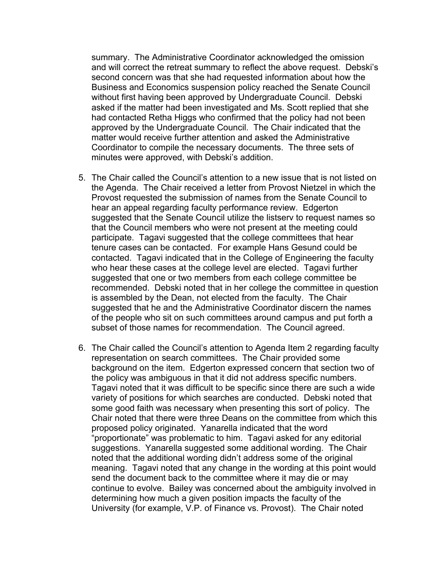summary. The Administrative Coordinator acknowledged the omission and will correct the retreat summary to reflect the above request. Debski's second concern was that she had requested information about how the Business and Economics suspension policy reached the Senate Council without first having been approved by Undergraduate Council. Debski asked if the matter had been investigated and Ms. Scott replied that she had contacted Retha Higgs who confirmed that the policy had not been approved by the Undergraduate Council. The Chair indicated that the matter would receive further attention and asked the Administrative Coordinator to compile the necessary documents. The three sets of minutes were approved, with Debski's addition.

- 5. The Chair called the Council's attention to a new issue that is not listed on the Agenda. The Chair received a letter from Provost Nietzel in which the Provost requested the submission of names from the Senate Council to hear an appeal regarding faculty performance review. Edgerton suggested that the Senate Council utilize the listserv to request names so that the Council members who were not present at the meeting could participate. Tagavi suggested that the college committees that hear tenure cases can be contacted. For example Hans Gesund could be contacted. Tagavi indicated that in the College of Engineering the faculty who hear these cases at the college level are elected. Tagavi further suggested that one or two members from each college committee be recommended. Debski noted that in her college the committee in question is assembled by the Dean, not elected from the faculty. The Chair suggested that he and the Administrative Coordinator discern the names of the people who sit on such committees around campus and put forth a subset of those names for recommendation. The Council agreed.
- 6. The Chair called the Council's attention to Agenda Item 2 regarding faculty representation on search committees. The Chair provided some background on the item. Edgerton expressed concern that section two of the policy was ambiguous in that it did not address specific numbers. Tagavi noted that it was difficult to be specific since there are such a wide variety of positions for which searches are conducted. Debski noted that some good faith was necessary when presenting this sort of policy. The Chair noted that there were three Deans on the committee from which this proposed policy originated. Yanarella indicated that the word "proportionate" was problematic to him. Tagavi asked for any editorial suggestions. Yanarella suggested some additional wording. The Chair noted that the additional wording didn't address some of the original meaning. Tagavi noted that any change in the wording at this point would send the document back to the committee where it may die or may continue to evolve. Bailey was concerned about the ambiguity involved in determining how much a given position impacts the faculty of the University (for example, V.P. of Finance vs. Provost). The Chair noted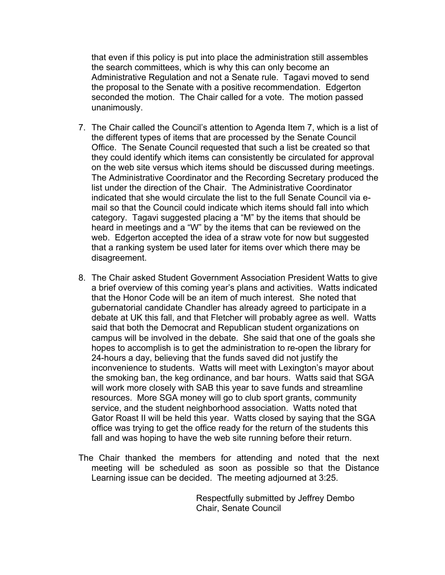that even if this policy is put into place the administration still assembles the search committees, which is why this can only become an Administrative Regulation and not a Senate rule. Tagavi moved to send the proposal to the Senate with a positive recommendation. Edgerton seconded the motion. The Chair called for a vote. The motion passed unanimously.

- 7. The Chair called the Council's attention to Agenda Item 7, which is a list of the different types of items that are processed by the Senate Council Office. The Senate Council requested that such a list be created so that they could identify which items can consistently be circulated for approval on the web site versus which items should be discussed during meetings. The Administrative Coordinator and the Recording Secretary produced the list under the direction of the Chair. The Administrative Coordinator indicated that she would circulate the list to the full Senate Council via email so that the Council could indicate which items should fall into which category. Tagavi suggested placing a "M" by the items that should be heard in meetings and a "W" by the items that can be reviewed on the web. Edgerton accepted the idea of a straw vote for now but suggested that a ranking system be used later for items over which there may be disagreement.
- 8. The Chair asked Student Government Association President Watts to give a brief overview of this coming year's plans and activities. Watts indicated that the Honor Code will be an item of much interest. She noted that gubernatorial candidate Chandler has already agreed to participate in a debate at UK this fall, and that Fletcher will probably agree as well. Watts said that both the Democrat and Republican student organizations on campus will be involved in the debate. She said that one of the goals she hopes to accomplish is to get the administration to re-open the library for 24-hours a day, believing that the funds saved did not justify the inconvenience to students. Watts will meet with Lexington's mayor about the smoking ban, the keg ordinance, and bar hours. Watts said that SGA will work more closely with SAB this year to save funds and streamline resources. More SGA money will go to club sport grants, community service, and the student neighborhood association. Watts noted that Gator Roast II will be held this year. Watts closed by saying that the SGA office was trying to get the office ready for the return of the students this fall and was hoping to have the web site running before their return.
- The Chair thanked the members for attending and noted that the next meeting will be scheduled as soon as possible so that the Distance Learning issue can be decided. The meeting adjourned at 3:25.

 Respectfully submitted by Jeffrey Dembo Chair, Senate Council